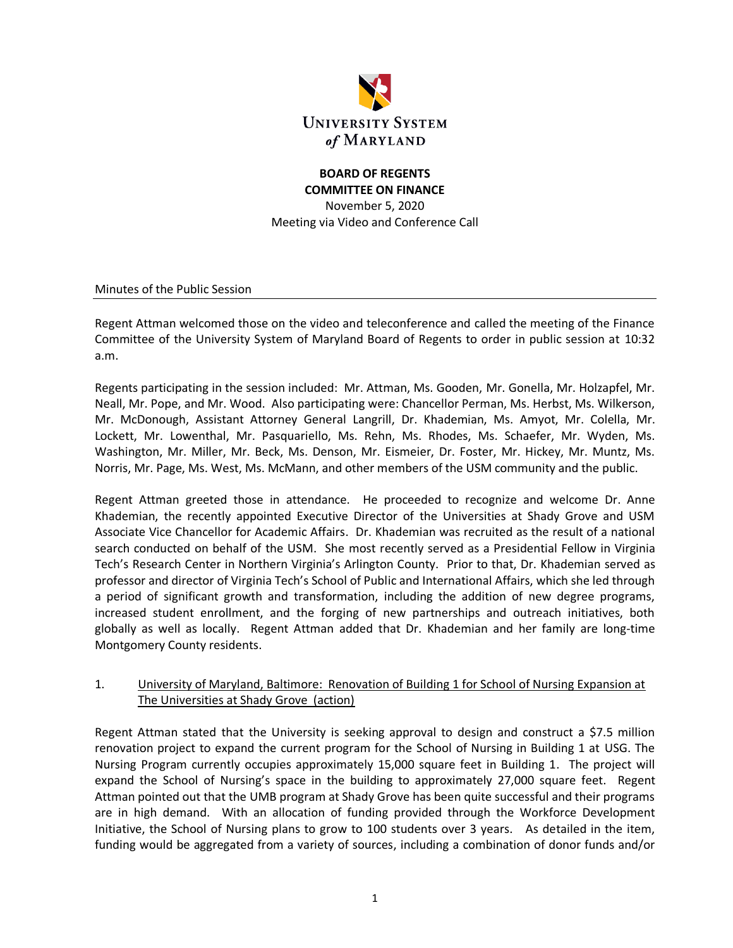

# **BOARD OF REGENTS COMMITTEE ON FINANCE**

November 5, 2020 Meeting via Video and Conference Call

Minutes of the Public Session

Regent Attman welcomed those on the video and teleconference and called the meeting of the Finance Committee of the University System of Maryland Board of Regents to order in public session at 10:32 a.m.

Regents participating in the session included: Mr. Attman, Ms. Gooden, Mr. Gonella, Mr. Holzapfel, Mr. Neall, Mr. Pope, and Mr. Wood. Also participating were: Chancellor Perman, Ms. Herbst, Ms. Wilkerson, Mr. McDonough, Assistant Attorney General Langrill, Dr. Khademian, Ms. Amyot, Mr. Colella, Mr. Lockett, Mr. Lowenthal, Mr. Pasquariello, Ms. Rehn, Ms. Rhodes, Ms. Schaefer, Mr. Wyden, Ms. Washington, Mr. Miller, Mr. Beck, Ms. Denson, Mr. Eismeier, Dr. Foster, Mr. Hickey, Mr. Muntz, Ms. Norris, Mr. Page, Ms. West, Ms. McMann, and other members of the USM community and the public.

Regent Attman greeted those in attendance. He proceeded to recognize and welcome Dr. Anne Khademian, the recently appointed Executive Director of the Universities at Shady Grove and USM Associate Vice Chancellor for Academic Affairs. Dr. Khademian was recruited as the result of a national search conducted on behalf of the USM. She most recently served as a Presidential Fellow in Virginia Tech's Research Center in Northern Virginia's Arlington County. Prior to that, Dr. Khademian served as professor and director of Virginia Tech's School of Public and International Affairs, which she led through a period of significant growth and transformation, including the addition of new degree programs, increased student enrollment, and the forging of new partnerships and outreach initiatives, both globally as well as locally. Regent Attman added that Dr. Khademian and her family are long-time Montgomery County residents.

## 1. University of Maryland, Baltimore: Renovation of Building 1 for School of Nursing Expansion at The Universities at Shady Grove (action)

Regent Attman stated that the University is seeking approval to design and construct a \$7.5 million renovation project to expand the current program for the School of Nursing in Building 1 at USG. The Nursing Program currently occupies approximately 15,000 square feet in Building 1. The project will expand the School of Nursing's space in the building to approximately 27,000 square feet. Regent Attman pointed out that the UMB program at Shady Grove has been quite successful and their programs are in high demand. With an allocation of funding provided through the Workforce Development Initiative, the School of Nursing plans to grow to 100 students over 3 years. As detailed in the item, funding would be aggregated from a variety of sources, including a combination of donor funds and/or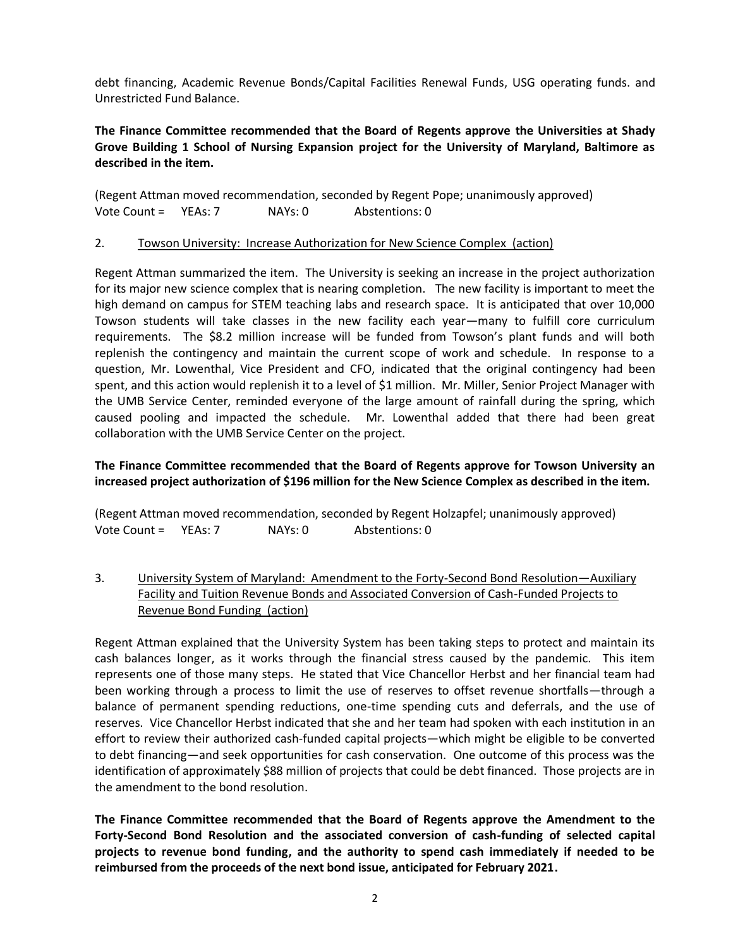debt financing, Academic Revenue Bonds/Capital Facilities Renewal Funds, USG operating funds. and Unrestricted Fund Balance.

**The Finance Committee recommended that the Board of Regents approve the Universities at Shady Grove Building 1 School of Nursing Expansion project for the University of Maryland, Baltimore as described in the item.**

(Regent Attman moved recommendation, seconded by Regent Pope; unanimously approved) Vote Count = YEAs: 7 NAYs: 0 Abstentions: 0

## 2. Towson University: Increase Authorization for New Science Complex (action)

Regent Attman summarized the item. The University is seeking an increase in the project authorization for its major new science complex that is nearing completion. The new facility is important to meet the high demand on campus for STEM teaching labs and research space. It is anticipated that over 10,000 Towson students will take classes in the new facility each year—many to fulfill core curriculum requirements. The \$8.2 million increase will be funded from Towson's plant funds and will both replenish the contingency and maintain the current scope of work and schedule. In response to a question, Mr. Lowenthal, Vice President and CFO, indicated that the original contingency had been spent, and this action would replenish it to a level of \$1 million. Mr. Miller, Senior Project Manager with the UMB Service Center, reminded everyone of the large amount of rainfall during the spring, which caused pooling and impacted the schedule. Mr. Lowenthal added that there had been great collaboration with the UMB Service Center on the project.

## **The Finance Committee recommended that the Board of Regents approve for Towson University an increased project authorization of \$196 million for the New Science Complex as described in the item.**

(Regent Attman moved recommendation, seconded by Regent Holzapfel; unanimously approved) Vote Count = YEAs: 7 NAYs: 0 Abstentions: 0

3. University System of Maryland: Amendment to the Forty-Second Bond Resolution—Auxiliary Facility and Tuition Revenue Bonds and Associated Conversion of Cash-Funded Projects to Revenue Bond Funding (action)

Regent Attman explained that the University System has been taking steps to protect and maintain its cash balances longer, as it works through the financial stress caused by the pandemic. This item represents one of those many steps. He stated that Vice Chancellor Herbst and her financial team had been working through a process to limit the use of reserves to offset revenue shortfalls—through a balance of permanent spending reductions, one-time spending cuts and deferrals, and the use of reserves. Vice Chancellor Herbst indicated that she and her team had spoken with each institution in an effort to review their authorized cash-funded capital projects—which might be eligible to be converted to debt financing—and seek opportunities for cash conservation. One outcome of this process was the identification of approximately \$88 million of projects that could be debt financed. Those projects are in the amendment to the bond resolution.

**The Finance Committee recommended that the Board of Regents approve the Amendment to the Forty-Second Bond Resolution and the associated conversion of cash-funding of selected capital projects to revenue bond funding, and the authority to spend cash immediately if needed to be reimbursed from the proceeds of the next bond issue, anticipated for February 2021.**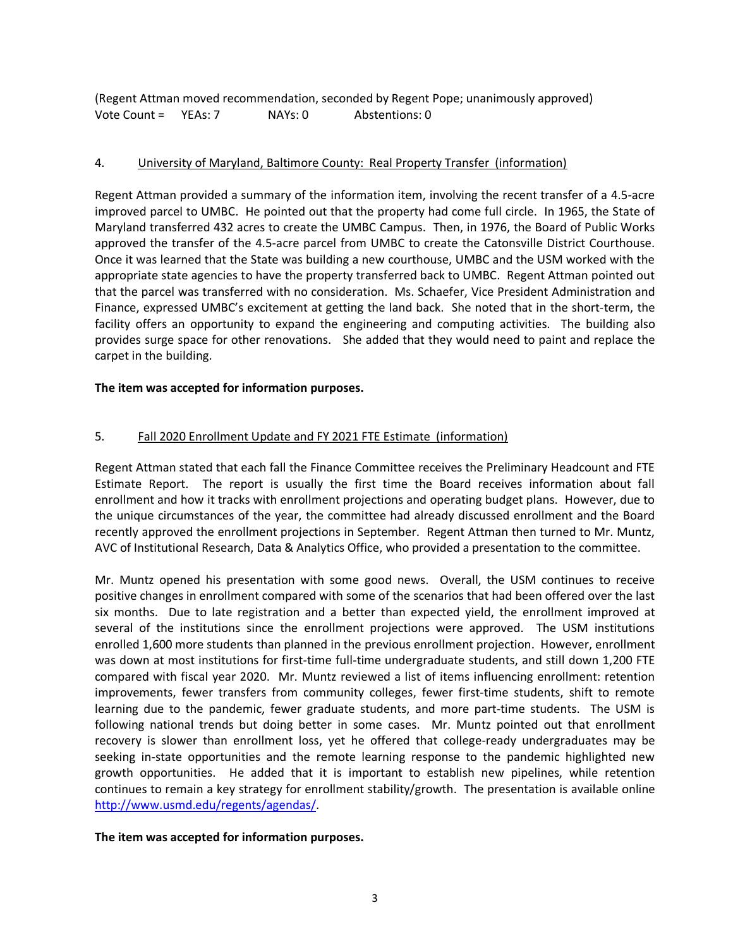(Regent Attman moved recommendation, seconded by Regent Pope; unanimously approved) Vote Count = YEAs: 7 NAYs: 0 Abstentions: 0

## 4. University of Maryland, Baltimore County: Real Property Transfer (information)

Regent Attman provided a summary of the information item, involving the recent transfer of a 4.5-acre improved parcel to UMBC. He pointed out that the property had come full circle. In 1965, the State of Maryland transferred 432 acres to create the UMBC Campus. Then, in 1976, the Board of Public Works approved the transfer of the 4.5-acre parcel from UMBC to create the Catonsville District Courthouse. Once it was learned that the State was building a new courthouse, UMBC and the USM worked with the appropriate state agencies to have the property transferred back to UMBC. Regent Attman pointed out that the parcel was transferred with no consideration. Ms. Schaefer, Vice President Administration and Finance, expressed UMBC's excitement at getting the land back. She noted that in the short-term, the facility offers an opportunity to expand the engineering and computing activities. The building also provides surge space for other renovations. She added that they would need to paint and replace the carpet in the building.

## **The item was accepted for information purposes.**

## 5. Fall 2020 Enrollment Update and FY 2021 FTE Estimate (information)

Regent Attman stated that each fall the Finance Committee receives the Preliminary Headcount and FTE Estimate Report. The report is usually the first time the Board receives information about fall enrollment and how it tracks with enrollment projections and operating budget plans. However, due to the unique circumstances of the year, the committee had already discussed enrollment and the Board recently approved the enrollment projections in September. Regent Attman then turned to Mr. Muntz, AVC of Institutional Research, Data & Analytics Office, who provided a presentation to the committee.

Mr. Muntz opened his presentation with some good news. Overall, the USM continues to receive positive changes in enrollment compared with some of the scenarios that had been offered over the last six months. Due to late registration and a better than expected yield, the enrollment improved at several of the institutions since the enrollment projections were approved. The USM institutions enrolled 1,600 more students than planned in the previous enrollment projection. However, enrollment was down at most institutions for first-time full-time undergraduate students, and still down 1,200 FTE compared with fiscal year 2020. Mr. Muntz reviewed a list of items influencing enrollment: retention improvements, fewer transfers from community colleges, fewer first-time students, shift to remote learning due to the pandemic, fewer graduate students, and more part-time students. The USM is following national trends but doing better in some cases. Mr. Muntz pointed out that enrollment recovery is slower than enrollment loss, yet he offered that college-ready undergraduates may be seeking in-state opportunities and the remote learning response to the pandemic highlighted new growth opportunities. He added that it is important to establish new pipelines, while retention continues to remain a key strategy for enrollment stability/growth. The presentation is available online [http://www.usmd.edu/regents/agendas/.](http://www.usmd.edu/regents/agendas/)

## **The item was accepted for information purposes.**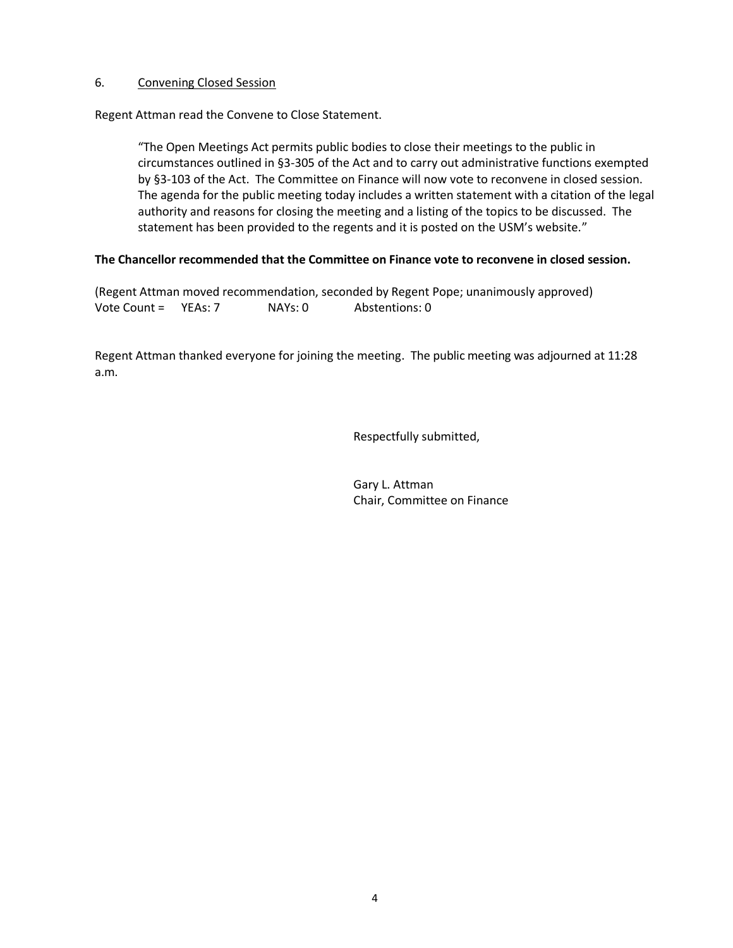#### 6. Convening Closed Session

Regent Attman read the Convene to Close Statement.

"The Open Meetings Act permits public bodies to close their meetings to the public in circumstances outlined in §3-305 of the Act and to carry out administrative functions exempted by §3-103 of the Act. The Committee on Finance will now vote to reconvene in closed session. The agenda for the public meeting today includes a written statement with a citation of the legal authority and reasons for closing the meeting and a listing of the topics to be discussed. The statement has been provided to the regents and it is posted on the USM's website."

## **The Chancellor recommended that the Committee on Finance vote to reconvene in closed session.**

(Regent Attman moved recommendation, seconded by Regent Pope; unanimously approved) Vote Count = YEAs: 7 NAYs: 0 Abstentions: 0

Regent Attman thanked everyone for joining the meeting. The public meeting was adjourned at 11:28 a.m.

Respectfully submitted,

Gary L. Attman Chair, Committee on Finance